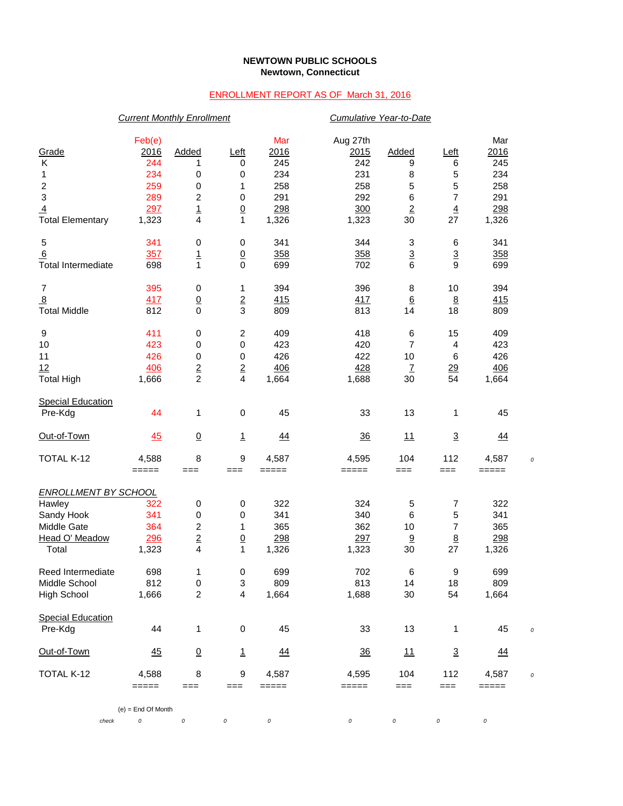## **NEWTOWN PUBLIC SCHOOLS Newtown, Connecticut**

## ENROLLMENT REPORT AS OF March 31, 2016

|                             |                           | <b>Current Monthly Enrollment</b> |                         |           | Cumulative Year-to-Date |                 |                 |           |            |
|-----------------------------|---------------------------|-----------------------------------|-------------------------|-----------|-------------------------|-----------------|-----------------|-----------|------------|
|                             | Feb(e)                    |                                   |                         | Mar       | Aug 27th                |                 |                 | Mar       |            |
| Grade                       | 2016                      | Added                             | Left                    | 2016      | 2015                    | Added           | <u>Left</u>     | 2016      |            |
| Κ                           | 244                       | 1                                 | 0                       | 245       | 242                     | 9               | 6               | 245       |            |
| 1                           | 234                       | 0                                 | 0                       | 234       | 231                     | 8               | 5               | 234       |            |
|                             | 259                       | 0                                 | 1                       | 258       | 258                     | 5               | 5               | 258       |            |
| $\frac{2}{3}$               | 289                       | $\overline{\mathbf{c}}$           | 0                       | 291       | 292                     | 6               | $\overline{7}$  | 291       |            |
| $\overline{4}$              | 297                       |                                   | $\underline{0}$         | 298       | 300                     | $\overline{2}$  | $\overline{4}$  | 298       |            |
| <b>Total Elementary</b>     | 1,323                     | $\frac{1}{4}$                     | $\mathbf{1}$            | 1,326     | 1,323                   | 30              | 27              | 1,326     |            |
| 5                           | 341                       | 0                                 | 0                       | 341       | 344                     | 3               | 6               | 341       |            |
| 6                           | 357                       | $\overline{1}$                    | $\underline{0}$         | 358       | 358                     | $\overline{3}$  | $\overline{3}$  | 358       |            |
| <b>Total Intermediate</b>   | 698                       | $\mathbf{1}$                      | $\mathbf 0$             | 699       | 702                     | 6               | 9               | 699       |            |
| 7                           | 395                       | 0                                 | 1                       | 394       | 396                     | 8               | 10              | 394       |            |
| $\overline{8}$              | 417                       | $\frac{0}{0}$                     | $\overline{2}$          | 415       | 417                     | $6\phantom{1}6$ | $\underline{8}$ | 415       |            |
| <b>Total Middle</b>         | 812                       |                                   | 3                       | 809       | 813                     | 14              | 18              | 809       |            |
| 9                           | 411                       | 0                                 | $\boldsymbol{2}$        | 409       | 418                     | 6               | 15              | 409       |            |
| 10                          | 423                       | 0                                 | 0                       | 423       | 420                     | $\overline{7}$  | 4               | 423       |            |
| 11                          | 426                       | 0                                 | 0                       | 426       | 422                     | 10              | 6               | 426       |            |
| 12                          | <b>406</b>                | $\frac{2}{2}$                     | $\overline{2}$          | 406       | 428                     | $\overline{1}$  | <u>29</u>       | 406       |            |
| <b>Total High</b>           | 1,666                     |                                   | $\overline{\mathbf{4}}$ | 1,664     | 1,688                   | 30              | 54              | 1,664     |            |
| <b>Special Education</b>    |                           |                                   |                         |           |                         |                 |                 |           |            |
| Pre-Kdg                     | 44                        | 1                                 | 0                       | 45        | 33                      | 13              | 1               | 45        |            |
| Out-of-Town                 | 45                        | $\underline{0}$                   | $\mathbf{1}$            | 44        | 36                      | 11              | $\overline{3}$  | 44        |            |
| TOTAL K-12                  | 4,588                     | 8                                 | 9                       | 4,587     | 4,595                   | 104             | 112             | 4,587     | $\epsilon$ |
|                             | =====                     | $==$                              | $==$                    | $=====$   | =====                   | ===             | $==$            | =====     |            |
| <b>ENROLLMENT BY SCHOOL</b> |                           |                                   |                         |           |                         |                 |                 |           |            |
| Hawley                      | 322                       | 0                                 | 0                       | 322       | 324                     | 5               | 7               | 322       |            |
| Sandy Hook                  | 341                       | 0                                 | 0                       | 341       | 340                     | 6               | 5               | 341       |            |
| Middle Gate                 | 364                       | $\boldsymbol{2}$                  | 1                       | 365       | 362                     | 10              | 7               | 365       |            |
| Head O' Meadow              | 296                       | $\overline{2}$                    | $\overline{0}$          | 298       | 297                     | 9               | $\underline{8}$ | 298       |            |
| Total                       | 1,323                     | $\overline{\mathbf{4}}$           | 1                       | 1,326     | 1,323                   | 30              | 27              | 1,326     |            |
| Reed Intermediate           | 698                       | $\mathbf{1}$                      | $\mathsf 0$             | 699       | 702                     | 6               | 9               | 699       |            |
| Middle School               | 812                       | 0                                 | 3                       | 809       | 813                     | 14              | 18              | 809       |            |
| <b>High School</b>          | 1,666                     | $\overline{c}$                    | 4                       | 1,664     | 1,688                   | 30              | 54              | 1,664     |            |
| <b>Special Education</b>    |                           |                                   |                         |           |                         |                 |                 |           |            |
| Pre-Kdg                     | 44                        | 1                                 | $\,0\,$                 | 45        | 33                      | 13              | 1               | 45        |            |
| Out-of-Town                 | $\frac{45}{5}$            | $\underline{0}$                   | $\overline{1}$          | <u>44</u> | $\frac{36}{5}$          | <u> 11</u>      | $\overline{3}$  | <u>44</u> |            |
| TOTAL K-12                  | 4,588                     | 8                                 | 9                       | 4,587     | 4,595                   | 104             | 112             | 4,587     |            |
|                             | =====                     | ===                               | $==$                    | $=====$   | =====                   | ===             | $==$            | =====     |            |
| check                       | $(e)$ = End Of Month<br>0 | $\cal O$                          | 0                       | $\cal O$  | 0                       | 0               | $\cal O$        | 0         |            |
|                             |                           |                                   |                         |           |                         |                 |                 |           |            |